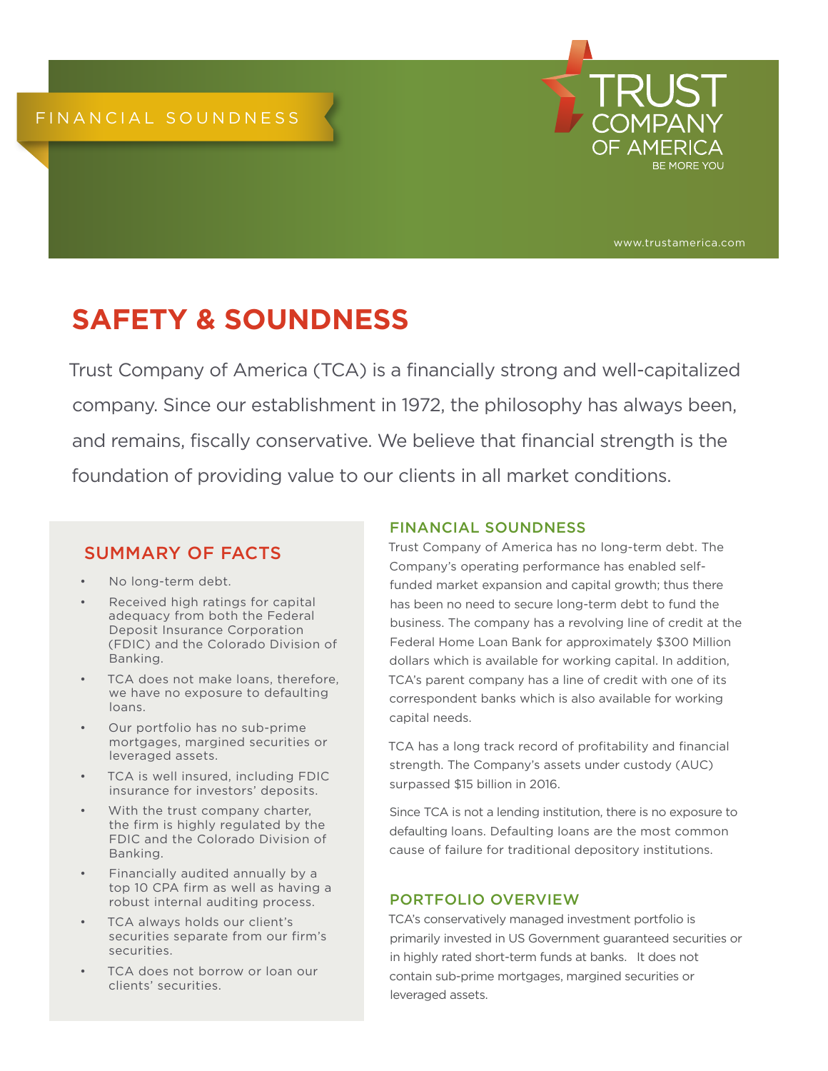

www.trustamerica.com

# **SAFETY & SOUNDNESS**

Trust Company of America (TCA) is a financially strong and well-capitalized company. Since our establishment in 1972, the philosophy has always been, and remains, fiscally conservative. We believe that financial strength is the foundation of providing value to our clients in all market conditions.

## SUMMARY OF FACTS

- No long-term debt.
- Received high ratings for capital adequacy from both the Federal Deposit Insurance Corporation (FDIC) and the Colorado Division of Banking.
- TCA does not make loans, therefore, we have no exposure to defaulting loans.
- Our portfolio has no sub-prime mortgages, margined securities or leveraged assets.
- TCA is well insured, including FDIC insurance for investors' deposits.
- With the trust company charter, the firm is highly regulated by the FDIC and the Colorado Division of Banking.
- Financially audited annually by a top 10 CPA firm as well as having a robust internal auditing process.
- TCA always holds our client's securities separate from our firm's securities.
- TCA does not borrow or loan our clients' securities.

#### FINANCIAL SOUNDNESS

Trust Company of America has no long-term debt. The Company's operating performance has enabled selffunded market expansion and capital growth; thus there has been no need to secure long-term debt to fund the business. The company has a revolving line of credit at the Federal Home Loan Bank for approximately \$300 Million dollars which is available for working capital. In addition, TCA's parent company has a line of credit with one of its correspondent banks which is also available for working capital needs.

TCA has a long track record of profitability and financial strength. The Company's assets under custody (AUC) surpassed \$15 billion in 2016.

Since TCA is not a lending institution, there is no exposure to defaulting loans. Defaulting loans are the most common cause of failure for traditional depository institutions.

### PORTFOLIO OVERVIEW

TCA's conservatively managed investment portfolio is primarily invested in US Government guaranteed securities or in highly rated short-term funds at banks. It does not contain sub-prime mortgages, margined securities or leveraged assets.